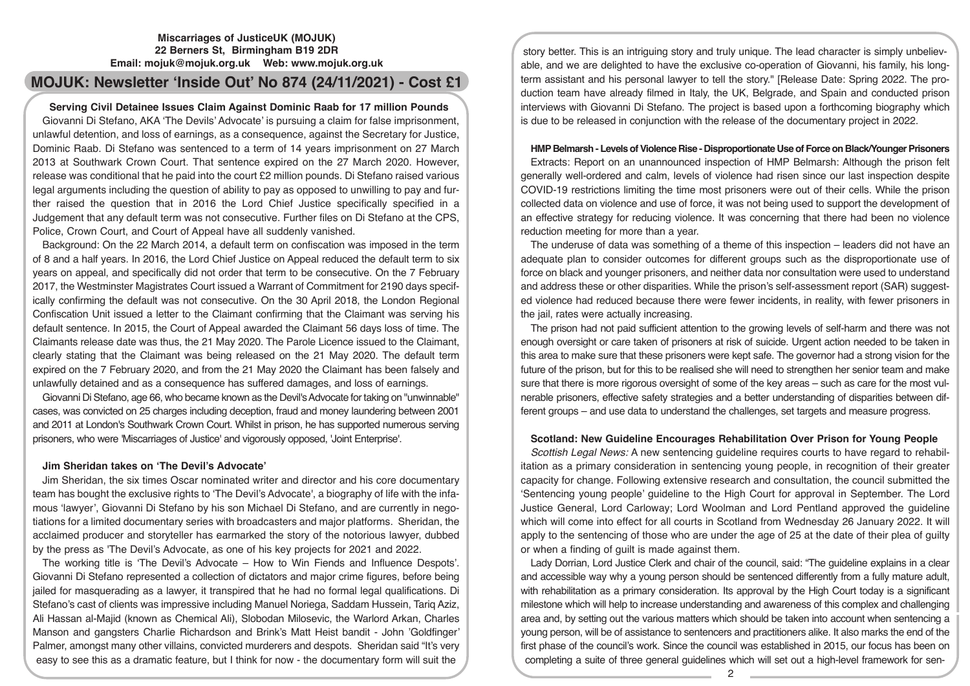## **Miscarriages of JusticeUK (MOJUK) 22 Berners St, Birmingham B19 2DR Email: mojuk@mojuk.org.uk Web: www.mojuk.org.uk**

# **MOJUK: Newsletter 'Inside Out' No 874 (24/11/2021) - Cost £1**

## **Serving Civil Detainee Issues Claim Against Dominic Raab for 17 million Pounds**

Giovanni Di Stefano, AKA 'The Devils' Advocate' is pursuing a claim for false imprisonment, unlawful detention, and loss of earnings, as a consequence, against the Secretary for Justice, Dominic Raab. Di Stefano was sentenced to a term of 14 years imprisonment on 27 March 2013 at Southwark Crown Court. That sentence expired on the 27 March 2020. However, release was conditional that he paid into the court £2 million pounds. Di Stefano raised various legal arguments including the question of ability to pay as opposed to unwilling to pay and further raised the question that in 2016 the Lord Chief Justice specifically specified in a Judgement that any default term was not consecutive. Further files on Di Stefano at the CPS, Police, Crown Court, and Court of Appeal have all suddenly vanished.

Background: On the 22 March 2014, a default term on confiscation was imposed in the term of 8 and a half years. In 2016, the Lord Chief Justice on Appeal reduced the default term to six years on appeal, and specifically did not order that term to be consecutive. On the 7 February 2017, the Westminster Magistrates Court issued a Warrant of Commitment for 2190 days specifically confirming the default was not consecutive. On the 30 April 2018, the London Regional Confiscation Unit issued a letter to the Claimant confirming that the Claimant was serving his default sentence. In 2015, the Court of Appeal awarded the Claimant 56 days loss of time. The Claimants release date was thus, the 21 May 2020. The Parole Licence issued to the Claimant, clearly stating that the Claimant was being released on the 21 May 2020. The default term expired on the 7 February 2020, and from the 21 May 2020 the Claimant has been falsely and unlawfully detained and as a consequence has suffered damages, and loss of earnings.

Giovanni Di Stefano, age 66, who became known as the Devil's Advocate for taking on "unwinnable" cases, was convicted on 25 charges including deception, fraud and money laundering between 2001 and 2011 at London's Southwark Crown Court. Whilst in prison, he has supported numerous serving prisoners, who were 'Miscarriages of Justice' and vigorously opposed, 'Joint Enterprise'.

# **Jim Sheridan takes on 'The Devil's Advocate'**

Jim Sheridan, the six times Oscar nominated writer and director and his core documentary team has bought the exclusive rights to 'The Devil's Advocate', a biography of life with the infamous 'lawyer', Giovanni Di Stefano by his son Michael Di Stefano, and are currently in negotiations for a limited documentary series with broadcasters and major platforms. Sheridan, the acclaimed producer and storyteller has earmarked the story of the notorious lawyer, dubbed by the press as 'The Devil's Advocate, as one of his key projects for 2021 and 2022.

The working title is 'The Devil's Advocate – How to Win Fiends and Influence Despots'. Giovanni Di Stefano represented a collection of dictators and major crime figures, before being jailed for masquerading as a lawyer, it transpired that he had no formal legal qualifications. Di Stefano's cast of clients was impressive including Manuel Noriega, Saddam Hussein, Tariq Aziz, Ali Hassan al-Majid (known as Chemical Ali), Slobodan Milosevic, the Warlord Arkan, Charles Manson and gangsters Charlie Richardson and Brink's Matt Heist bandit - John 'Goldfinger' Palmer, amongst many other villains, convicted murderers and despots. Sheridan said "It's very easy to see this as a dramatic feature, but I think for now - the documentary form will suit the

story better. This is an intriguing story and truly unique. The lead character is simply unbelievable, and we are delighted to have the exclusive co-operation of Giovanni, his family, his longterm assistant and his personal lawyer to tell the story." [Release Date: Spring 2022. The production team have already filmed in Italy, the UK, Belgrade, and Spain and conducted prison interviews with Giovanni Di Stefano. The project is based upon a forthcoming biography which is due to be released in conjunction with the release of the documentary project in 2022.

## **HMP Belmarsh - Levels of Violence Rise - Disproportionate Use of Force on Black/Younger Prisoners**

Extracts: Report on an unannounced inspection of HMP Belmarsh: Although the prison felt generally well-ordered and calm, levels of violence had risen since our last inspection despite COVID-19 restrictions limiting the time most prisoners were out of their cells. While the prison collected data on violence and use of force, it was not being used to support the development of an effective strategy for reducing violence. It was concerning that there had been no violence reduction meeting for more than a year.

The underuse of data was something of a theme of this inspection – leaders did not have an adequate plan to consider outcomes for different groups such as the disproportionate use of force on black and younger prisoners, and neither data nor consultation were used to understand and address these or other disparities. While the prison's self-assessment report (SAR) suggested violence had reduced because there were fewer incidents, in reality, with fewer prisoners in the jail, rates were actually increasing.

The prison had not paid sufficient attention to the growing levels of self-harm and there was not enough oversight or care taken of prisoners at risk of suicide. Urgent action needed to be taken in this area to make sure that these prisoners were kept safe. The governor had a strong vision for the future of the prison, but for this to be realised she will need to strengthen her senior team and make sure that there is more rigorous oversight of some of the key areas – such as care for the most vulnerable prisoners, effective safety strategies and a better understanding of disparities between different groups – and use data to understand the challenges, set targets and measure progress.

# **Scotland: New Guideline Encourages Rehabilitation Over Prison for Young People**

*Scottish Legal News:* A new sentencing guideline requires courts to have regard to rehabilitation as a primary consideration in sentencing young people, in recognition of their greater capacity for change. Following extensive research and consultation, the council submitted the 'Sentencing young people' guideline to the High Court for approval in September. The Lord Justice General, Lord Carloway; Lord Woolman and Lord Pentland approved the guideline which will come into effect for all courts in Scotland from Wednesday 26 January 2022. It will apply to the sentencing of those who are under the age of 25 at the date of their plea of guilty or when a finding of guilt is made against them.

Lady Dorrian, Lord Justice Clerk and chair of the council, said: "The guideline explains in a clear and accessible way why a young person should be sentenced differently from a fully mature adult, with rehabilitation as a primary consideration. Its approval by the High Court today is a significant milestone which will help to increase understanding and awareness of this complex and challenging area and, by setting out the various matters which should be taken into account when sentencing a young person, will be of assistance to sentencers and practitioners alike. It also marks the end of the first phase of the council's work. Since the council was established in 2015, our focus has been on completing a suite of three general guidelines which will set out a high-level framework for sen-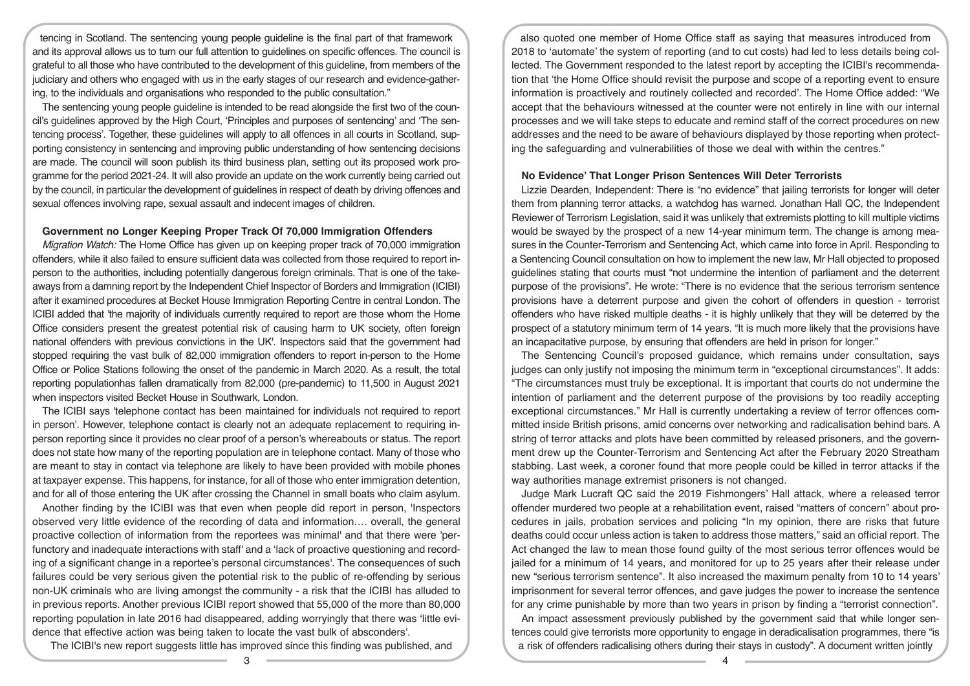tencing in Scotland. The sentencing young people guideline is the final part of that framework and its approval allows us to turn our full attention to guidelines on specific offences. The council is grateful to all those who have contributed to the development of this guideline, from members of the judiciary and others who engaged with us in the early stages of our research and evidence-gathering, to the individuals and organisations who responded to the public consultation."

The sentencing young people guideline is intended to be read alongside the first two of the council's guidelines approved by the High Court, 'Principles and purposes of sentencing' and 'The sentencing process'. Together, these guidelines will apply to all offences in all courts in Scotland, supporting consistency in sentencing and improving public understanding of how sentencing decisions are made. The council will soon publish its third business plan, setting out its proposed work programme for the period 2021-24. It will also provide an update on the work currently being carried out by the council, in particular the development of guidelines in respect of death by driving offences and sexual offences involving rape, sexual assault and indecent images of children.

#### **Government no Longer Keeping Proper Track Of 70,000 Immigration Offenders**

*Migration Watch:* The Home Office has given up on keeping proper track of 70,000 immigration offenders, while it also failed to ensure sufficient data was collected from those required to report inperson to the authorities, including potentially dangerous foreign criminals. That is one of the takeaways from a damning report by the Independent Chief Inspector of Borders and Immigration (ICIBI) after it examined procedures at Becket House Immigration Reporting Centre in central London. The ICIBI added that 'the majority of individuals currently required to report are those whom the Home Office considers present the greatest potential risk of causing harm to UK society, often foreign national offenders with previous convictions in the UK'. Inspectors said that the government had stopped requiring the vast bulk of 82,000 immigration offenders to report in-person to the Home Office or Police Stations following the onset of the pandemic in March 2020. As a result, the total reporting populationhas fallen dramatically from 82,000 (pre-pandemic) to 11,500 in August 2021 when inspectors visited Becket House in Southwark, London.

The ICIBI says 'telephone contact has been maintained for individuals not required to report in person'. However, telephone contact is clearly not an adequate replacement to requiring inperson reporting since it provides no clear proof of a person's whereabouts or status. The report does not state how many of the reporting population are in telephone contact. Many of those who are meant to stay in contact via telephone are likely to have been provided with mobile phones at taxpayer expense. This happens, for instance, for all of those who enter immigration detention, and for all of those entering the UK after crossing the Channel in small boats who claim asylum.

Another finding by the ICIBI was that even when people did report in person, 'Inspectors observed very little evidence of the recording of data and information…. overall, the general proactive collection of information from the reportees was minimal' and that there were 'perfunctory and inadequate interactions with staff' and a 'lack of proactive questioning and recording of a significant change in a reportee's personal circumstances'. The consequences of such failures could be very serious given the potential risk to the public of re-offending by serious non-UK criminals who are living amongst the community - a risk that the ICIBI has alluded to in previous reports. Another previous ICIBI report showed that 55,000 of the more than 80,000 reporting population in late 2016 had disappeared, adding worryingly that there was 'little evidence that effective action was being taken to locate the vast bulk of absconders'.

The ICIBI's new report suggests little has improved since this finding was published, and

also quoted one member of Home Office staff as saying that measures introduced from 2018 to 'automate' the system of reporting (and to cut costs) had led to less details being collected. The Government responded to the latest report by accepting the ICIBI's recommendation that 'the Home Office should revisit the purpose and scope of a reporting event to ensure information is proactively and routinely collected and recorded'. The Home Office added: "We accept that the behaviours witnessed at the counter were not entirely in line with our internal processes and we will take steps to educate and remind staff of the correct procedures on new addresses and the need to be aware of behaviours displayed by those reporting when protecting the safeguarding and vulnerabilities of those we deal with within the centres."

#### **No Evidence' That Longer Prison Sentences Will Deter Terrorists**

Lizzie Dearden, Independent: There is "no evidence" that jailing terrorists for longer will deter them from planning terror attacks, a watchdog has warned. Jonathan Hall QC, the Independent Reviewer of Terrorism Legislation, said it was unlikely that extremists plotting to kill multiple victims would be swayed by the prospect of a new 14-year minimum term. The change is among measures in the Counter-Terrorism and Sentencing Act, which came into force in April. Responding to a Sentencing Council consultation on how to implement the new law, Mr Hall objected to proposed guidelines stating that courts must "not undermine the intention of parliament and the deterrent purpose of the provisions". He wrote: "There is no evidence that the serious terrorism sentence provisions have a deterrent purpose and given the cohort of offenders in question - terrorist offenders who have risked multiple deaths - it is highly unlikely that they will be deterred by the prospect of a statutory minimum term of 14 years. "It is much more likely that the provisions have an incapacitative purpose, by ensuring that offenders are held in prison for longer."

The Sentencing Council's proposed guidance, which remains under consultation, says judges can only justify not imposing the minimum term in "exceptional circumstances". It adds: "The circumstances must truly be exceptional. It is important that courts do not undermine the intention of parliament and the deterrent purpose of the provisions by too readily accepting exceptional circumstances." Mr Hall is currently undertaking a review of terror offences committed inside British prisons, amid concerns over networking and radicalisation behind bars. A string of terror attacks and plots have been committed by released prisoners, and the government drew up the Counter-Terrorism and Sentencing Act after the February 2020 Streatham stabbing. Last week, a coroner found that more people could be killed in terror attacks if the way authorities manage extremist prisoners is not changed.

Judge Mark Lucraft QC said the 2019 Fishmongers' Hall attack, where a released terror offender murdered two people at a rehabilitation event, raised "matters of concern" about procedures in jails, probation services and policing "In my opinion, there are risks that future deaths could occur unless action is taken to address those matters," said an official report. The Act changed the law to mean those found guilty of the most serious terror offences would be jailed for a minimum of 14 years, and monitored for up to 25 years after their release under new "serious terrorism sentence". It also increased the maximum penalty from 10 to 14 years' imprisonment for several terror offences, and gave judges the power to increase the sentence for any crime punishable by more than two years in prison by finding a "terrorist connection".

An impact assessment previously published by the government said that while longer sentences could give terrorists more opportunity to engage in deradicalisation programmes, there "is a risk of offenders radicalising others during their stays in custody". A document written jointly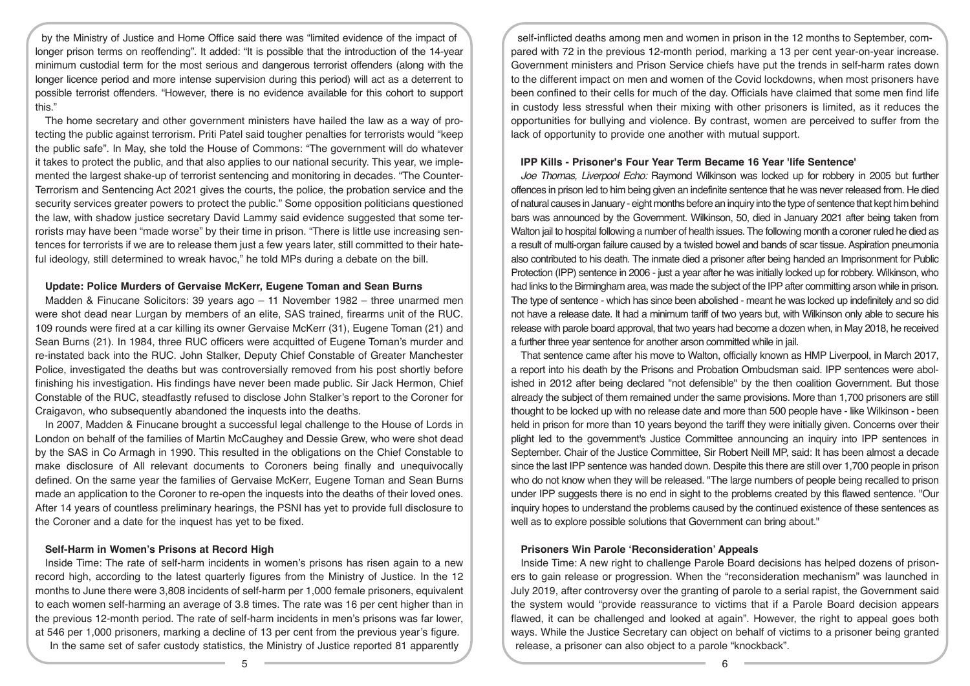by the Ministry of Justice and Home Office said there was "limited evidence of the impact of longer prison terms on reoffending". It added: "It is possible that the introduction of the 14-year minimum custodial term for the most serious and dangerous terrorist offenders (along with the longer licence period and more intense supervision during this period) will act as a deterrent to possible terrorist offenders. "However, there is no evidence available for this cohort to support this."

The home secretary and other government ministers have hailed the law as a way of protecting the public against terrorism. Priti Patel said tougher penalties for terrorists would "keep the public safe". In May, she told the House of Commons: "The government will do whatever it takes to protect the public, and that also applies to our national security. This year, we implemented the largest shake-up of terrorist sentencing and monitoring in decades. "The Counter-Terrorism and Sentencing Act 2021 gives the courts, the police, the probation service and the security services greater powers to protect the public." Some opposition politicians questioned the law, with shadow justice secretary David Lammy said evidence suggested that some terrorists may have been "made worse" by their time in prison. "There is little use increasing sentences for terrorists if we are to release them just a few years later, still committed to their hateful ideology, still determined to wreak havoc," he told MPs during a debate on the bill.

## **Update: Police Murders of Gervaise McKerr, Eugene Toman and Sean Burns**

Madden & Finucane Solicitors: 39 years ago – 11 November 1982 – three unarmed men were shot dead near Lurgan by members of an elite, SAS trained, firearms unit of the RUC. 109 rounds were fired at a car killing its owner Gervaise McKerr (31), Eugene Toman (21) and Sean Burns (21). In 1984, three RUC officers were acquitted of Eugene Toman's murder and re-instated back into the RUC. John Stalker, Deputy Chief Constable of Greater Manchester Police, investigated the deaths but was controversially removed from his post shortly before finishing his investigation. His findings have never been made public. Sir Jack Hermon, Chief Constable of the RUC, steadfastly refused to disclose John Stalker's report to the Coroner for Craigavon, who subsequently abandoned the inquests into the deaths.

In 2007, Madden & Finucane brought a successful legal challenge to the House of Lords in London on behalf of the families of Martin McCaughey and Dessie Grew, who were shot dead by the SAS in Co Armagh in 1990. This resulted in the obligations on the Chief Constable to make disclosure of All relevant documents to Coroners being finally and unequivocally defined. On the same year the families of Gervaise McKerr, Eugene Toman and Sean Burns made an application to the Coroner to re-open the inquests into the deaths of their loved ones. After 14 years of countless preliminary hearings, the PSNI has yet to provide full disclosure to the Coroner and a date for the inquest has yet to be fixed.

## **Self-Harm in Women's Prisons at Record High**

Inside Time: The rate of self-harm incidents in women's prisons has risen again to a new record high, according to the latest quarterly figures from the Ministry of Justice. In the 12 months to June there were 3,808 incidents of self-harm per 1,000 female prisoners, equivalent to each women self-harming an average of 3.8 times. The rate was 16 per cent higher than in the previous 12-month period. The rate of self-harm incidents in men's prisons was far lower, at 546 per 1,000 prisoners, marking a decline of 13 per cent from the previous year's figure. In the same set of safer custody statistics, the Ministry of Justice reported 81 apparently

self-inflicted deaths among men and women in prison in the 12 months to September, compared with 72 in the previous 12-month period, marking a 13 per cent year-on-year increase. Government ministers and Prison Service chiefs have put the trends in self-harm rates down to the different impact on men and women of the Covid lockdowns, when most prisoners have been confined to their cells for much of the day. Officials have claimed that some men find life in custody less stressful when their mixing with other prisoners is limited, as it reduces the opportunities for bullying and violence. By contrast, women are perceived to suffer from the lack of opportunity to provide one another with mutual support.

## **IPP Kills - Prisoner's Four Year Term Became 16 Year 'life Sentence'**

*Joe Thomas, Liverpool Echo:* Raymond Wilkinson was locked up for robbery in 2005 but further offences in prison led to him being given an indefinite sentence that he was never released from. He died of natural causes in January - eight months before an inquiry into the type of sentence that kept him behind bars was announced by the Government. Wilkinson, 50, died in January 2021 after being taken from Walton jail to hospital following a number of health issues. The following month a coroner ruled he died as a result of multi-organ failure caused by a twisted bowel and bands of scar tissue. Aspiration pneumonia also contributed to his death. The inmate died a prisoner after being handed an Imprisonment for Public Protection (IPP) sentence in 2006 - just a year after he was initially locked up for robbery. Wilkinson, who had links to the Birmingham area, was made the subject of the IPP after committing arson while in prison. The type of sentence - which has since been abolished - meant he was locked up indefinitely and so did not have a release date. It had a minimum tariff of two years but, with Wilkinson only able to secure his release with parole board approval, that two years had become a dozen when, in May 2018, he received a further three year sentence for another arson committed while in jail.

That sentence came after his move to Walton, officially known as HMP Liverpool, in March 2017, a report into his death by the Prisons and Probation Ombudsman said. IPP sentences were abolished in 2012 after being declared "not defensible" by the then coalition Government. But those already the subject of them remained under the same provisions. More than 1,700 prisoners are still thought to be locked up with no release date and more than 500 people have - like Wilkinson - been held in prison for more than 10 years beyond the tariff they were initially given. Concerns over their plight led to the government's Justice Committee announcing an inquiry into IPP sentences in September. Chair of the Justice Committee, Sir Robert Neill MP, said: It has been almost a decade since the last IPP sentence was handed down. Despite this there are still over 1,700 people in prison who do not know when they will be released. "The large numbers of people being recalled to prison under IPP suggests there is no end in sight to the problems created by this flawed sentence. "Our inquiry hopes to understand the problems caused by the continued existence of these sentences as well as to explore possible solutions that Government can bring about."

# **Prisoners Win Parole 'Reconsideration' Appeals**

Inside Time: A new right to challenge Parole Board decisions has helped dozens of prisoners to gain release or progression. When the "reconsideration mechanism" was launched in July 2019, after controversy over the granting of parole to a serial rapist, the Government said the system would "provide reassurance to victims that if a Parole Board decision appears flawed, it can be challenged and looked at again". However, the right to appeal goes both ways. While the Justice Secretary can object on behalf of victims to a prisoner being granted release, a prisoner can also object to a parole "knockback".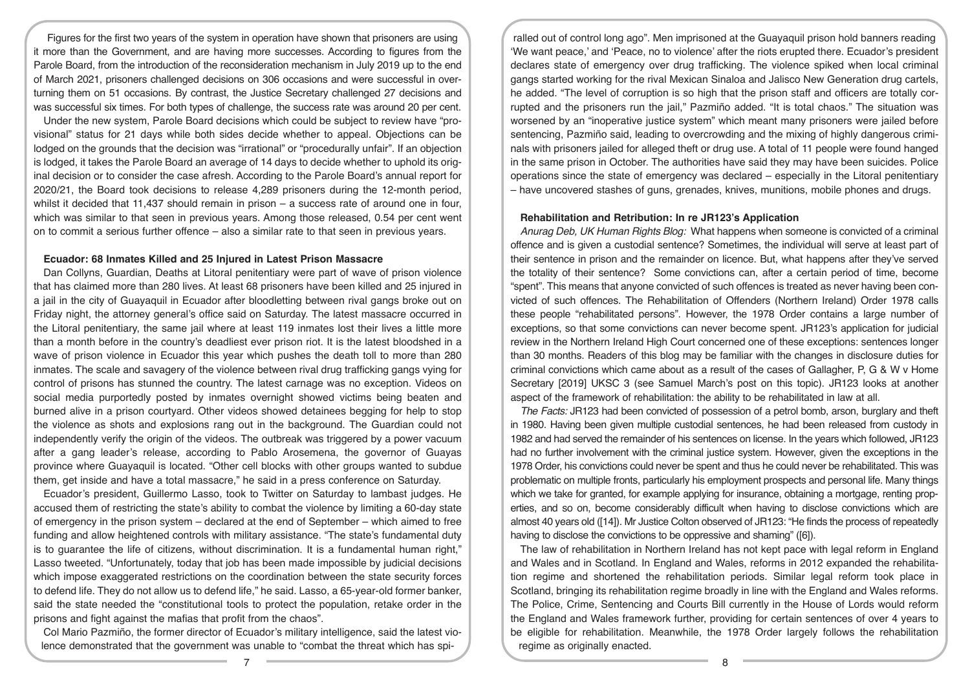Figures for the first two years of the system in operation have shown that prisoners are using it more than the Government, and are having more successes. According to figures from the Parole Board, from the introduction of the reconsideration mechanism in July 2019 up to the end of March 2021, prisoners challenged decisions on 306 occasions and were successful in overturning them on 51 occasions. By contrast, the Justice Secretary challenged 27 decisions and was successful six times. For both types of challenge, the success rate was around 20 per cent.

Under the new system, Parole Board decisions which could be subject to review have "provisional" status for 21 days while both sides decide whether to appeal. Objections can be lodged on the grounds that the decision was "irrational" or "procedurally unfair". If an objection is lodged, it takes the Parole Board an average of 14 days to decide whether to uphold its original decision or to consider the case afresh. According to the Parole Board's annual report for 2020/21, the Board took decisions to release 4,289 prisoners during the 12-month period, whilst it decided that  $11,437$  should remain in prison – a success rate of around one in four, which was similar to that seen in previous years. Among those released, 0.54 per cent went on to commit a serious further offence – also a similar rate to that seen in previous years.

#### **Ecuador: 68 Inmates Killed and 25 Injured in Latest Prison Massacre**

Dan Collyns, Guardian, Deaths at Litoral penitentiary were part of wave of prison violence that has claimed more than 280 lives. At least 68 prisoners have been killed and 25 injured in a jail in the city of Guayaquil in Ecuador after bloodletting between rival gangs broke out on Friday night, the attorney general's office said on Saturday. The latest massacre occurred in the Litoral penitentiary, the same jail where at least 119 inmates lost their lives a little more than a month before in the country's deadliest ever prison riot. It is the latest bloodshed in a wave of prison violence in Ecuador this year which pushes the death toll to more than 280 inmates. The scale and savagery of the violence between rival drug trafficking gangs vying for control of prisons has stunned the country. The latest carnage was no exception. Videos on social media purportedly posted by inmates overnight showed victims being beaten and burned alive in a prison courtyard. Other videos showed detainees begging for help to stop the violence as shots and explosions rang out in the background. The Guardian could not independently verify the origin of the videos. The outbreak was triggered by a power vacuum after a gang leader's release, according to Pablo Arosemena, the governor of Guayas province where Guayaquil is located. "Other cell blocks with other groups wanted to subdue them, get inside and have a total massacre," he said in a press conference on Saturday.

Ecuador's president, Guillermo Lasso, took to Twitter on Saturday to lambast judges. He accused them of restricting the state's ability to combat the violence by limiting a 60-day state of emergency in the prison system – declared at the end of September – which aimed to free funding and allow heightened controls with military assistance. "The state's fundamental duty is to guarantee the life of citizens, without discrimination. It is a fundamental human right," Lasso tweeted. "Unfortunately, today that job has been made impossible by judicial decisions which impose exaggerated restrictions on the coordination between the state security forces to defend life. They do not allow us to defend life," he said. Lasso, a 65-year-old former banker, said the state needed the "constitutional tools to protect the population, retake order in the prisons and fight against the mafias that profit from the chaos".

Col Mario Pazmiño, the former director of Ecuador's military intelligence, said the latest violence demonstrated that the government was unable to "combat the threat which has spi-

ralled out of control long ago". Men imprisoned at the Guayaquil prison hold banners reading 'We want peace,' and 'Peace, no to violence' after the riots erupted there. Ecuador's president declares state of emergency over drug trafficking. The violence spiked when local criminal gangs started working for the rival Mexican Sinaloa and Jalisco New Generation drug cartels, he added. "The level of corruption is so high that the prison staff and officers are totally corrupted and the prisoners run the jail," Pazmiño added. "It is total chaos." The situation was worsened by an "inoperative justice system" which meant many prisoners were jailed before sentencing, Pazmiño said, leading to overcrowding and the mixing of highly dangerous criminals with prisoners jailed for alleged theft or drug use. A total of 11 people were found hanged in the same prison in October. The authorities have said they may have been suicides. Police operations since the state of emergency was declared – especially in the Litoral penitentiary – have uncovered stashes of guns, grenades, knives, munitions, mobile phones and drugs.

## **Rehabilitation and Retribution: In re JR123's Application**

*Anurag Deb, UK Human Rights Blog:* What happens when someone is convicted of a criminal offence and is given a custodial sentence? Sometimes, the individual will serve at least part of their sentence in prison and the remainder on licence. But, what happens after they've served the totality of their sentence? Some convictions can, after a certain period of time, become "spent". This means that anyone convicted of such offences is treated as never having been convicted of such offences. The Rehabilitation of Offenders (Northern Ireland) Order 1978 calls these people "rehabilitated persons". However, the 1978 Order contains a large number of exceptions, so that some convictions can never become spent. JR123's application for judicial review in the Northern Ireland High Court concerned one of these exceptions: sentences longer than 30 months. Readers of this blog may be familiar with the changes in disclosure duties for criminal convictions which came about as a result of the cases of Gallagher, P, G & W v Home Secretary [2019] UKSC 3 (see Samuel March's post on this topic). JR123 looks at another aspect of the framework of rehabilitation: the ability to be rehabilitated in law at all.

*The Facts:* JR123 had been convicted of possession of a petrol bomb, arson, burglary and theft in 1980. Having been given multiple custodial sentences, he had been released from custody in 1982 and had served the remainder of his sentences on license. In the years which followed, JR123 had no further involvement with the criminal justice system. However, given the exceptions in the 1978 Order, his convictions could never be spent and thus he could never be rehabilitated. This was problematic on multiple fronts, particularly his employment prospects and personal life. Many things which we take for granted, for example applying for insurance, obtaining a mortgage, renting properties, and so on, become considerably difficult when having to disclose convictions which are almost 40 years old ([14]). Mr Justice Colton observed of JR123: "He finds the process of repeatedly having to disclose the convictions to be oppressive and shaming" ([6]).

The law of rehabilitation in Northern Ireland has not kept pace with legal reform in England and Wales and in Scotland. In England and Wales, reforms in 2012 expanded the rehabilitation regime and shortened the rehabilitation periods. Similar legal reform took place in Scotland, bringing its rehabilitation regime broadly in line with the England and Wales reforms. The Police, Crime, Sentencing and Courts Bill currently in the House of Lords would reform the England and Wales framework further, providing for certain sentences of over 4 years to be eligible for rehabilitation. Meanwhile, the 1978 Order largely follows the rehabilitation regime as originally enacted.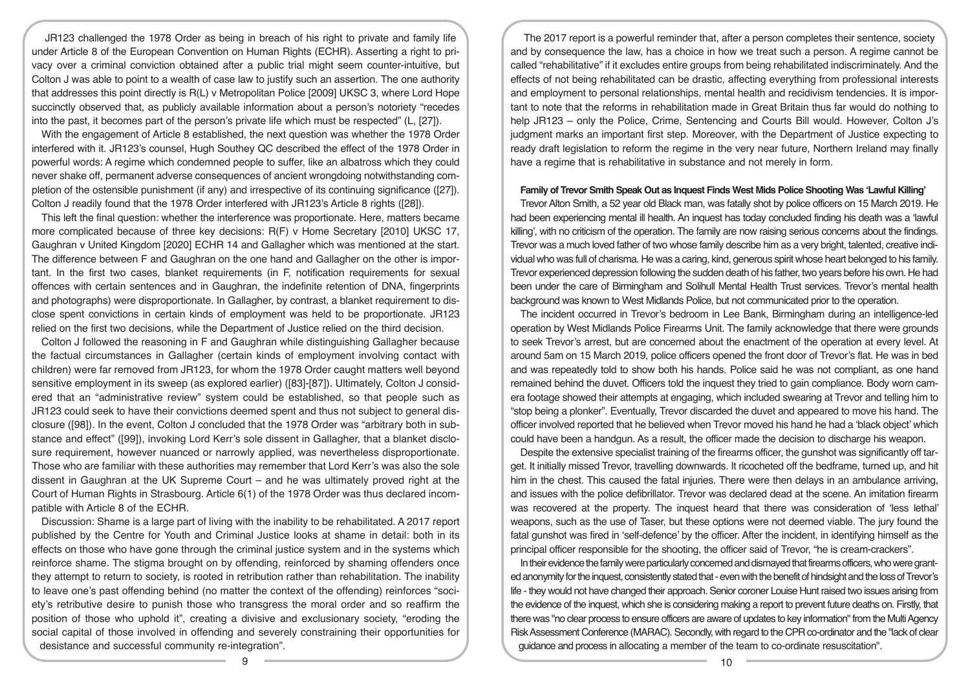JR123 challenged the 1978 Order as being in breach of his right to private and family life under Article 8 of the European Convention on Human Rights (ECHR). Asserting a right to privacy over a criminal conviction obtained after a public trial might seem counter-intuitive, but Colton J was able to point to a wealth of case law to justify such an assertion. The one authority that addresses this point directly is R(L) v Metropolitan Police [2009] UKSC 3, where Lord Hope succinctly observed that, as publicly available information about a person's notoriety "recedes into the past, it becomes part of the person's private life which must be respected" (L, [27]).

With the engagement of Article 8 established, the next question was whether the 1978 Order interfered with it. JR123's counsel, Hugh Southey QC described the effect of the 1978 Order in powerful words: A regime which condemned people to suffer, like an albatross which they could never shake off, permanent adverse consequences of ancient wrongdoing notwithstanding completion of the ostensible punishment (if any) and irrespective of its continuing significance ([27]). Colton J readily found that the 1978 Order interfered with JR123's Article 8 rights ([28]).

This left the final question: whether the interference was proportionate. Here, matters became more complicated because of three key decisions: R(F) v Home Secretary [2010] UKSC 17, Gaughran v United Kingdom [2020] ECHR 14 and Gallagher which was mentioned at the start. The difference between F and Gaughran on the one hand and Gallagher on the other is important. In the first two cases, blanket requirements (in F, notification requirements for sexual offences with certain sentences and in Gaughran, the indefinite retention of DNA, fingerprints and photographs) were disproportionate. In Gallagher, by contrast, a blanket requirement to disclose spent convictions in certain kinds of employment was held to be proportionate. JR123 relied on the first two decisions, while the Department of Justice relied on the third decision.

Colton J followed the reasoning in F and Gaughran while distinguishing Gallagher because the factual circumstances in Gallagher (certain kinds of employment involving contact with children) were far removed from JR123, for whom the 1978 Order caught matters well beyond sensitive employment in its sweep (as explored earlier) ([83]-[87]). Ultimately, Colton J considered that an "administrative review" system could be established, so that people such as JR123 could seek to have their convictions deemed spent and thus not subject to general disclosure ([98]). In the event, Colton J concluded that the 1978 Order was "arbitrary both in substance and effect" ([99]), invoking Lord Kerr's sole dissent in Gallagher, that a blanket disclosure requirement, however nuanced or narrowly applied, was nevertheless disproportionate. Those who are familiar with these authorities may remember that Lord Kerr's was also the sole dissent in Gaughran at the UK Supreme Court – and he was ultimately proved right at the Court of Human Rights in Strasbourg. Article 6(1) of the 1978 Order was thus declared incompatible with Article 8 of the ECHR.

Discussion: Shame is a large part of living with the inability to be rehabilitated. A 2017 report published by the Centre for Youth and Criminal Justice looks at shame in detail: both in its effects on those who have gone through the criminal justice system and in the systems which reinforce shame. The stigma brought on by offending, reinforced by shaming offenders once they attempt to return to society, is rooted in retribution rather than rehabilitation. The inability to leave one's past offending behind (no matter the context of the offending) reinforces "society's retributive desire to punish those who transgress the moral order and so reaffirm the position of those who uphold it", creating a divisive and exclusionary society, "eroding the social capital of those involved in offending and severely constraining their opportunities for desistance and successful community re-integration".

The 2017 report is a powerful reminder that, after a person completes their sentence, society and by consequence the law, has a choice in how we treat such a person. A regime cannot be called "rehabilitative" if it excludes entire groups from being rehabilitated indiscriminately. And the effects of not being rehabilitated can be drastic, affecting everything from professional interests and employment to personal relationships, mental health and recidivism tendencies. It is important to note that the reforms in rehabilitation made in Great Britain thus far would do nothing to help JR123 – only the Police, Crime, Sentencing and Courts Bill would. However, Colton J's judgment marks an important first step. Moreover, with the Department of Justice expecting to ready draft legislation to reform the regime in the very near future, Northern Ireland may finally have a regime that is rehabilitative in substance and not merely in form.

#### **Family of Trevor Smith Speak Out as Inquest Finds West Mids Police Shooting Was 'Lawful Killing'**

Trevor Alton Smith, a 52 year old Black man, was fatally shot by police officers on 15 March 2019. He had been experiencing mental ill health. An inquest has today concluded finding his death was a 'lawful killing', with no criticism of the operation. The family are now raising serious concerns about the findings. Trevor was a much loved father of two whose family describe him as a very bright, talented, creative individual who was full of charisma. He was a caring, kind, generous spirit whose heart belonged to his family. Trevor experienced depression following the sudden death of his father, two years before his own. He had been under the care of Birmingham and Solihull Mental Health Trust services. Trevor's mental health background was known to West Midlands Police, but not communicated prior to the operation.

The incident occurred in Trevor's bedroom in Lee Bank, Birmingham during an intelligence-led operation by West Midlands Police Firearms Unit. The family acknowledge that there were grounds to seek Trevor's arrest, but are concerned about the enactment of the operation at every level. At around 5am on 15 March 2019, police officers opened the front door of Trevor's flat. He was in bed and was repeatedly told to show both his hands. Police said he was not compliant, as one hand remained behind the duvet. Officers told the inquest they tried to gain compliance. Body worn camera footage showed their attempts at engaging, which included swearing at Trevor and telling him to "stop being a plonker". Eventually, Trevor discarded the duvet and appeared to move his hand. The officer involved reported that he believed when Trevor moved his hand he had a 'black object' which could have been a handgun. As a result, the officer made the decision to discharge his weapon.

Despite the extensive specialist training of the firearms officer, the gunshot was significantly off target. It initially missed Trevor, travelling downwards. It ricocheted off the bedframe, turned up, and hit him in the chest. This caused the fatal injuries. There were then delays in an ambulance arriving, and issues with the police defibrillator. Trevor was declared dead at the scene. An imitation firearm was recovered at the property. The inquest heard that there was consideration of 'less lethal' weapons, such as the use of Taser, but these options were not deemed viable. The jury found the fatal gunshot was fired in 'self-defence' by the officer. After the incident, in identifying himself as the principal officer responsible for the shooting, the officer said of Trevor, "he is cream-crackers".

In their evidence the family were particularly concerned and dismayed that firearms officers, who were granted anonymity for the inquest, consistently stated that - even with the benefit of hindsight and the loss of Trevor's life - they would not have changed their approach. Senior coroner Louise Hunt raised two issues arising from the evidence of the inquest, which she is considering making a report to prevent future deaths on. Firstly, that there was "no clear process to ensure officers are aware of updates to key information" from the Multi Agency Risk Assessment Conference (MARAC). Secondly, with regard to the CPR co-ordinator and the "lack of clear guidance and process in allocating a member of the team to co-ordinate resuscitation".